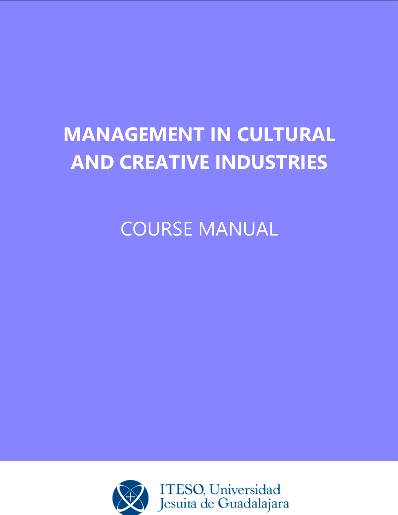# **MANAGEMENT IN CULTURAL AND CREATIVE INDUSTRIES**

COURSE MANUAL

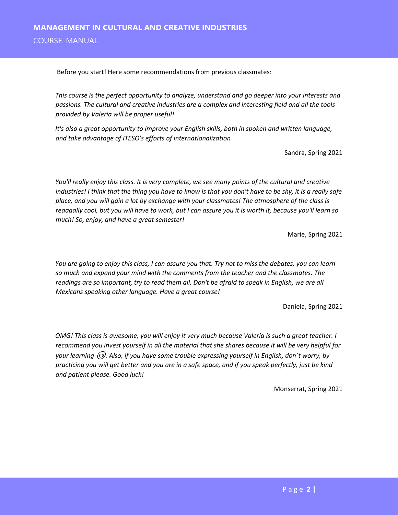Before you start! Here some recommendations from previous classmates:

*This course is the perfect opportunity to analyze, understand and go deeper into your interests and passions. The cultural and creative industries are a complex and interesting field and all the tools provided by Valeria will be proper useful!* 

*It's also a great opportunity to improve your English skills, both in spoken and written language, and take advantage of ITESO's efforts of internationalization*

Sandra, Spring 2021

*You'll really enjoy this class. It is very complete, we see many points of the cultural and creative industries! I think that the thing you have to know is that you don't have to be shy, it is a really safe place, and you will gain a lot by exchange with your classmates! The atmosphere of the class is reaaaally cool, but you will have to work, but I can assure you it is worth it, because you'll learn so much! So, enjoy, and have a great semester!* 

Marie, Spring 2021

*You are going to enjoy this class, I can assure you that. Try not to miss the debates, you can learn so much and expand your mind with the comments from the teacher and the classmates. The readings are so important, try to read them all. Don't be afraid to speak in English, we are all Mexicans speaking other language. Have a great course!*

Daniela, Spring 2021

*OMG! This class is awesome, you will enjoy it very much because Valeria is such a great teacher. I recommend you invest yourself in all the material that she shares because it will be very helpful for your learning . Also, if you have some trouble expressing yourself in English, don´t worry, by practicing you will get better and you are in a safe space, and if you speak perfectly, just be kind and patient please. Good luck!* 

Monserrat, Spring 2021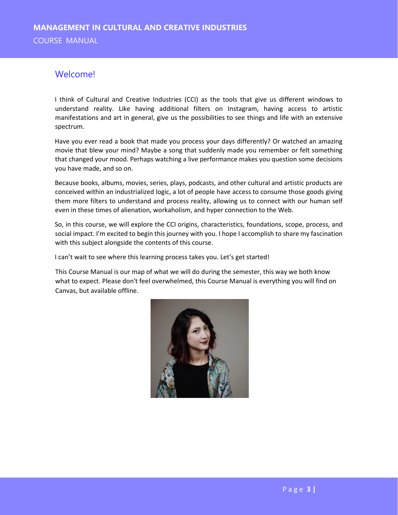# Welcome!

I think of Cultural and Creative Industries (CCI) as the tools that give us different windows to understand reality. Like having additional filters on Instagram, having access to artistic manifestations and art in general, give us the possibilities to see things and life with an extensive spectrum.

Have you ever read a book that made you process your days differently? Or watched an amazing movie that blew your mind? Maybe a song that suddenly made you remember or felt something that changed your mood. Perhaps watching a live performance makes you question some decisions you have made, and so on.

Because books, albums, movies, series, plays, podcasts, and other cultural and artistic products are conceived within an industrialized logic, a lot of people have access to consume those goods giving them more filters to understand and process reality, allowing us to connect with our human self even in these times of alienation, workaholism, and hyper connection to the Web.

So, in this course, we will explore the CCI origins, characteristics, foundations, scope, process, and social impact. I'm excited to begin this journey with you. I hope I accomplish to share my fascination with this subject alongside the contents of this course.

I can't wait to see where this learning process takes you. Let's get started!

This Course Manual is our map of what we will do during the semester, this way we both know what to expect. Please don't feel overwhelmed, this Course Manual is everything you will find on Canvas, but available offline.

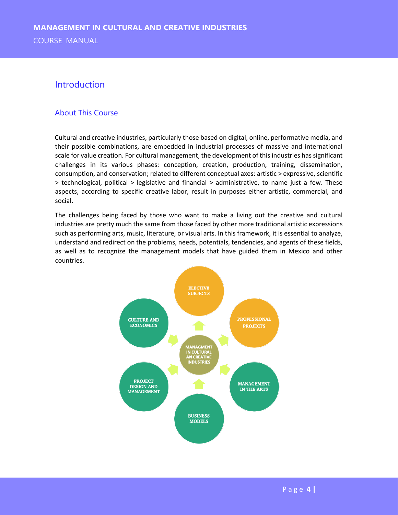## Introduction

## About This Course

Cultural and creative industries, particularly those based on digital, online, performative media, and their possible combinations, are embedded in industrial processes of massive and international scale for value creation. For cultural management, the development of this industries has significant challenges in its various phases: conception, creation, production, training, dissemination, consumption, and conservation; related to different conceptual axes: artistic > expressive, scientific > technological, political > legislative and financial > administrative, to name just a few. These aspects, according to specific creative labor, result in purposes either artistic, commercial, and social.

The challenges being faced by those who want to make a living out the creative and cultural industries are pretty much the same from those faced by other more traditional artistic expressions such as performing arts, music, literature, or visual arts. In this framework, it is essential to analyze, understand and redirect on the problems, needs, potentials, tendencies, and agents of these fields, as well as to recognize the management models that have guided them in Mexico and other countries.

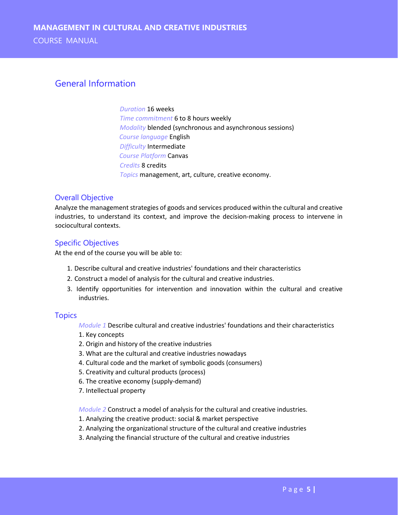# General Information

*Duration* 16 weeks *Time commitment* 6 to 8 hours weekly *Modality* blended (synchronous and asynchronous sessions) *Course language* English *Difficulty* Intermediate *Course Platform* Canvas *Credits* 8 credits *Topics* management, art, culture, creative economy.

#### Overall Objective

Analyze the management strategies of goods and services produced within the cultural and creative industries, to understand its context, and improve the decision-making process to intervene in sociocultural contexts.

### Specific Objectives

At the end of the course you will be able to:

- 1. Describe cultural and creative industries' foundations and their characteristics
- 2. Construct a model of analysis for the cultural and creative industries.
- 3. Identify opportunities for intervention and innovation within the cultural and creative industries.

#### **Topics**

*Module 1* Describe cultural and creative industries' foundations and their characteristics

- 1. Key concepts
- 2. Origin and history of the creative industries
- 3. What are the cultural and creative industries nowadays
- 4. Cultural code and the market of symbolic goods (consumers)
- 5. Creativity and cultural products (process)
- 6. The creative economy (supply-demand)
- 7. Intellectual property

*Module 2* Construct a model of analysis for the cultural and creative industries.

- 1. Analyzing the creative product: social & market perspective
- 2. Analyzing the organizational structure of the cultural and creative industries
- 3. Analyzing the financial structure of the cultural and creative industries